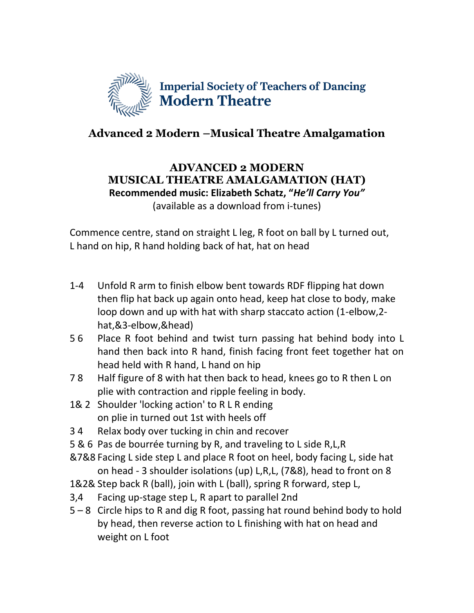

## **Advanced 2 Modern –Musical Theatre Amalgamation**

## **ADVANCED 2 MODERN MUSICAL THEATRE AMALGAMATION (HAT) Recommended music: Elizabeth Schatz, "***He'll Carry You"* (available as a download from i-tunes)

Commence centre, stand on straight L leg, R foot on ball by L turned out, L hand on hip, R hand holding back of hat, hat on head

- 1-4 Unfold R arm to finish elbow bent towards RDF flipping hat down then flip hat back up again onto head, keep hat close to body, make loop down and up with hat with sharp staccato action (1-elbow,2 hat,&3-elbow,&head)
- 5 6 Place R foot behind and twist turn passing hat behind body into L hand then back into R hand, finish facing front feet together hat on head held with R hand, L hand on hip
- 7 8 Half figure of 8 with hat then back to head, knees go to R then L on plie with contraction and ripple feeling in body.
- 1& 2 Shoulder 'locking action' to R L R ending on plie in turned out 1st with heels off
- 3 4 Relax body over tucking in chin and recover
- 5 & 6 Pas de bourrée turning by R, and traveling to L side R,L,R
- &7&8 Facing L side step L and place R foot on heel, body facing L, side hat on head - 3 shoulder isolations (up) L,R,L, (7&8), head to front on 8
- 1&2& Step back R (ball), join with L (ball), spring R forward, step L,
- 3,4 Facing up-stage step L, R apart to parallel 2nd
- 5 8 Circle hips to R and dig R foot, passing hat round behind body to hold by head, then reverse action to L finishing with hat on head and weight on L foot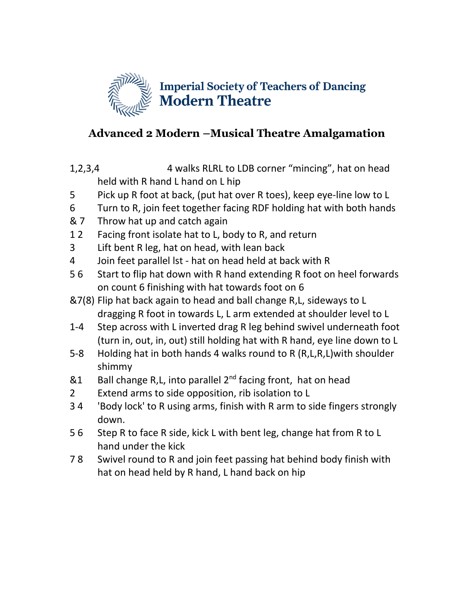

## **Advanced 2 Modern –Musical Theatre Amalgamation**

- 1,2,3,4 4 walks RLRL to LDB corner "mincing", hat on head held with R hand L hand on L hip
- 5 Pick up R foot at back, (put hat over R toes), keep eye-line low to L
- 6 Turn to R, join feet together facing RDF holding hat with both hands
- & 7 Throw hat up and catch again
- 12 Facing front isolate hat to L, body to R, and return
- 3 Lift bent R leg, hat on head, with lean back
- 4 Join feet parallel lst hat on head held at back with R
- 5 6 Start to flip hat down with R hand extending R foot on heel forwards on count 6 finishing with hat towards foot on 6
- &7(8) Flip hat back again to head and ball change R,L, sideways to L dragging R foot in towards L, L arm extended at shoulder level to L
- 1-4 Step across with L inverted drag R leg behind swivel underneath foot (turn in, out, in, out) still holding hat with R hand, eye line down to L
- 5-8 Holding hat in both hands 4 walks round to R (R,L,R,L)with shoulder shimmy
- $&1$  Ball change R,L, into parallel  $2^{nd}$  facing front, hat on head
- 2 Extend arms to side opposition, rib isolation to L
- 3 4 'Body lock' to R using arms, finish with R arm to side fingers strongly down.
- 5 6 Step R to face R side, kick L with bent leg, change hat from R to L hand under the kick
- 7 8 Swivel round to R and join feet passing hat behind body finish with hat on head held by R hand, L hand back on hip